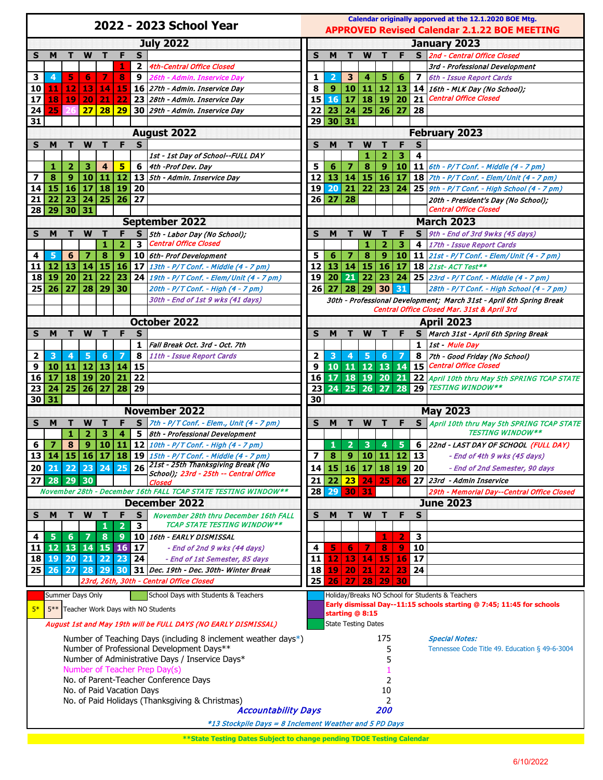| 2022 - 2023 School Year                                                       |                 |                 |                         |                        |                       |              |                                                                           | Calendar originally apporved at the 12.1.2020 BOE Mtg.<br><b>APPROVED Revised Calendar 2.1.22 BOE MEETING</b> |                                             |                            |                           |                    |                 |              |                                                                                                        |  |
|-------------------------------------------------------------------------------|-----------------|-----------------|-------------------------|------------------------|-----------------------|--------------|---------------------------------------------------------------------------|---------------------------------------------------------------------------------------------------------------|---------------------------------------------|----------------------------|---------------------------|--------------------|-----------------|--------------|--------------------------------------------------------------------------------------------------------|--|
| <b>July 2022</b>                                                              |                 |                 |                         |                        |                       |              |                                                                           |                                                                                                               |                                             |                            |                           |                    |                 | January 2023 |                                                                                                        |  |
| S                                                                             | M               | т               | W                       | т                      | F                     | S            |                                                                           | S                                                                                                             | M                                           |                            | W                         |                    | F               |              | S 2nd - Central Office Closed                                                                          |  |
|                                                                               |                 |                 |                         |                        | 1                     | $\mathbf{2}$ | <b>4th-Central Office Closed</b>                                          |                                                                                                               |                                             |                            |                           |                    |                 |              | 3rd - Professional Development                                                                         |  |
| 3                                                                             | 4               | 5               | 6                       | 7                      | $\bf{8}$              | 9            | 26th - Admin. Inservice Day                                               | 1                                                                                                             | $\overline{2}$                              | 3                          | 4                         | 5.                 | 6               | 7            | 6th - Issue Report Cards                                                                               |  |
| 10                                                                            | 11              | 12              | 13                      |                        | 14 15                 |              | 16 27th - Admin. Inservice Day                                            | 8                                                                                                             | 9                                           | 10                         | $\vert 11 \vert 12 \vert$ |                    |                 |              | 13 14 16th - MLK Day (No School);                                                                      |  |
| 17                                                                            | 18 <sup>1</sup> | 19 <sup>1</sup> | 20                      | 21                     | 22                    |              | 23 28th - Admin. Inservice Day                                            | 15                                                                                                            | 16                                          | 17                         |                           | 18 19              | 20              | 21           | <b>Central Office Closed</b>                                                                           |  |
| 24                                                                            | 25              |                 | 27                      | 28                     | 29                    |              | 30 29th - Admin. Inservice Day                                            | 22                                                                                                            | 23                                          |                            | 24   25   26              |                    | 27              | 28           |                                                                                                        |  |
| 31                                                                            |                 |                 |                         |                        |                       |              |                                                                           | 29                                                                                                            | 30                                          | 31                         |                           |                    |                 |              |                                                                                                        |  |
|                                                                               |                 |                 |                         |                        |                       |              | <b>August 2022</b>                                                        |                                                                                                               |                                             |                            |                           |                    |                 |              | <b>February 2023</b>                                                                                   |  |
| S                                                                             | м               | т               | W                       | т                      | F                     | S            |                                                                           | S                                                                                                             | M                                           | т                          | W                         |                    | F               | S            |                                                                                                        |  |
|                                                                               |                 |                 |                         |                        |                       |              | 1st - 1st Day of School--FULL DAY                                         |                                                                                                               |                                             |                            | 1                         | $\overline{2}$     | 3               | 4            |                                                                                                        |  |
|                                                                               | 1               | $\overline{2}$  | з                       | $\overline{4}$         | 5                     |              | 6   4th - Prof Dev. Day                                                   | 5                                                                                                             | 6                                           | 7                          | 8                         | 9                  |                 |              | <b>10</b>   11 $6th - P/T$ Conf. - Middle $(4 - 7pm)$                                                  |  |
| 7<br>14                                                                       | 8<br>15 16      | 9               | 10<br> 17               | 11                     | $ 12\rangle$<br>18 19 | 20           | 13   5th - Admin. Inservice Day                                           | 12<br>19                                                                                                      | 13<br>20                                    | 14<br>21                   |                           | 22 23              |                 |              | 15 16 17 18 $7th - P/T$ Conf. - Elem/Unit (4 - 7 pm)<br>24 25 9th - P/T Conf. - High School (4 - 7 pm) |  |
| 21                                                                            |                 | 22 23           | 24                      |                        | 25 26                 | 27           |                                                                           | 26                                                                                                            | 27                                          | 28                         |                           |                    |                 |              | 20th - President's Day (No School);                                                                    |  |
| 28                                                                            |                 | 29 30 31        |                         |                        |                       |              |                                                                           |                                                                                                               |                                             |                            |                           |                    |                 |              | Central Office Closed                                                                                  |  |
|                                                                               |                 |                 |                         |                        |                       |              | <b>September 2022</b>                                                     |                                                                                                               |                                             |                            |                           |                    |                 |              | <b>March 2023</b>                                                                                      |  |
| S                                                                             | м               | т               | W                       | т                      | F                     | s            | 5th - Labor Day (No School);                                              | S                                                                                                             | м                                           |                            | W                         | т                  | F               |              | S 9th - End of 3rd 9wks (45 days)                                                                      |  |
|                                                                               |                 |                 |                         | 1                      | $\overline{2}$        | 3            | <b>Central Office Closed</b>                                              |                                                                                                               |                                             |                            | 1                         | $\overline{2}$     | з               | 4            | 17th - Issue Report Cards                                                                              |  |
| 4                                                                             | 5               | 6               | $\overline{\mathbf{z}}$ | $\bf{8}$               | 9 <sup>°</sup>        |              | 10 6th- Prof Development                                                  | 5                                                                                                             | 6                                           | 7                          | $\bf{8}$                  | 9 <sup>°</sup>     | 10              |              | 11 21st - P/T Conf. - Elem/Unit (4 - 7 pm)                                                             |  |
| 11                                                                            | 12 13           |                 | 14                      |                        | 15 16                 |              | 17 $13th - P/T$ Conf. - Middle (4 - 7 pm)                                 | 12                                                                                                            | 13                                          | 14                         |                           |                    |                 |              | $15 \mid 16 \mid 17 \mid 18 \mid$ 21st- ACT Test**                                                     |  |
| 18                                                                            | 19 20           |                 | 21                      | 22                     | 23                    |              | 24   19th - P/T Conf. - Elem/Unit (4 - 7 pm)                              | 19                                                                                                            | 20                                          | 21                         |                           |                    |                 |              | 22 23 24 25 23rd - P/T Conf. - Middle (4 - 7 pm)                                                       |  |
| 25                                                                            | 26 27           |                 | 28                      |                        | 29 30                 |              | 20th - P/T Conf. - High (4 - 7 pm)                                        | 26 <sup>1</sup>                                                                                               |                                             | 27 28 29 30 31             |                           |                    |                 |              | 28th - P/T Conf. - High School (4 - 7 pm)                                                              |  |
|                                                                               |                 |                 |                         |                        |                       |              | 30th - End of 1st 9 wks (41 days)                                         |                                                                                                               |                                             |                            |                           |                    |                 |              | 30th - Professional Development; March 31st - April 6th Spring Break                                   |  |
|                                                                               |                 |                 |                         |                        |                       |              |                                                                           |                                                                                                               | Central Office Closed Mar. 31st & April 3rd |                            |                           |                    |                 |              |                                                                                                        |  |
|                                                                               |                 |                 |                         |                        |                       |              | October 2022                                                              |                                                                                                               |                                             |                            |                           |                    |                 |              | <b>April 2023</b>                                                                                      |  |
| S                                                                             | м               | т               | W                       | т                      | F                     | S            |                                                                           | S                                                                                                             | M                                           | т                          | W                         |                    | F               | S.           | March 31st - April 6th Spring Break                                                                    |  |
|                                                                               |                 |                 |                         |                        |                       | 1            | Fall Break Oct. 3rd - Oct. 7th                                            |                                                                                                               |                                             |                            |                           |                    |                 | 1            | 1st - Mule Day                                                                                         |  |
| 2                                                                             | 3               | 4               | 5                       | 6                      | 7                     | 8            | 11th - Issue Report Cards                                                 | 2                                                                                                             | 3                                           | 4                          | 5                         | 6                  | 7               | 8            | 7th - Good Friday (No School)                                                                          |  |
| 9                                                                             | 10 11           |                 |                         | 12   13   14           |                       | 15           |                                                                           | 9                                                                                                             |                                             | 10 11 12 13                |                           |                    |                 | 14 15        | <b>Central Office Closed</b>                                                                           |  |
| 16                                                                            |                 |                 |                         | 17   18   19   20   21 |                       | 22           |                                                                           | 16                                                                                                            |                                             | 17 18 19 20                |                           |                    |                 |              | 21 22 April 10th thru May 5th SPRING TCAP STATE                                                        |  |
| 23                                                                            |                 |                 | 24 25 26 27             |                        | 28                    | 29           |                                                                           | 23                                                                                                            |                                             |                            |                           |                    |                 |              | 24 25 26 27 28 29 <b>TESTING WINDOW**</b>                                                              |  |
| 30<br>31<br>30<br><b>November 2022</b>                                        |                 |                 |                         |                        |                       |              |                                                                           |                                                                                                               |                                             |                            |                           |                    |                 |              | <b>May 2023</b>                                                                                        |  |
|                                                                               | м               | т               | W                       | т                      | F                     |              | S $7th$ - P/T Conf. - Elem., Unit (4 - 7 pm)                              | S                                                                                                             | м                                           |                            | W                         |                    | F.              |              |                                                                                                        |  |
| S                                                                             |                 | 1               | 2                       | 3                      | 4                     | 5            | 8th - Professional Development                                            |                                                                                                               |                                             |                            |                           | т                  |                 |              | S April 10th thru May 5th SPRING TCAP STATE<br><b>TESTING WINDOW**</b>                                 |  |
| 6                                                                             | Ø               | 8               | $9^{\circ}$             |                        | 10 11                 |              | 12 $10th - P/T$ Conf. - High $(4 - 7)$ pm)                                |                                                                                                               | 1                                           | $\overline{\mathbf{2}}$    | $\overline{\mathbf{3}}$   | $\overline{4}$     | $5\phantom{.0}$ |              | 6 22nd - LAST DAY OF SCHOOL (FULL DAY)                                                                 |  |
|                                                                               |                 |                 |                         |                        |                       |              | 13 14 15 16 17 18 19 15th - $P/T$ Conf. - Middle (4 - 7 pm)               | $\overline{7}$                                                                                                |                                             | 8   9   10   11   12   13  |                           |                    |                 |              | - End of 4th 9 wks (45 days)                                                                           |  |
| 20                                                                            | 21              | 22              | 23                      | 24                     | 25                    | 26           | 21st - 25th Thanksgiving Break (No                                        | 14                                                                                                            | 15                                          |                            | $16$   17   18   19   20  |                    |                 |              | - End of 2nd Semester, 90 days                                                                         |  |
| 27                                                                            | 28 29 30        |                 |                         |                        |                       |              | School); 23rd - 25th -- Central Office                                    | 21                                                                                                            |                                             | 22 23                      |                           | 24 25              |                 |              | $\sqrt{26}$ 27 23rd - Admin Inservice                                                                  |  |
|                                                                               |                 |                 |                         |                        |                       |              | Closed<br>November 28th - December 16th FALL TCAP STATE TESTING WINDOW ** | 28                                                                                                            | 29                                          | 30                         | 31                        |                    |                 |              | 29th - Memorial Day--Central Office Closed                                                             |  |
|                                                                               |                 |                 |                         |                        |                       |              | December 2022                                                             |                                                                                                               |                                             |                            |                           |                    |                 |              | <b>June 2023</b>                                                                                       |  |
| S                                                                             | M               | т               | W                       | $\mathbf T$            | F                     | S            | November 28th thru December 16th FALL                                     | S                                                                                                             | M                                           | т                          | W                         | $\mathbf{T}$       | F               | $\mathbf{s}$ |                                                                                                        |  |
|                                                                               |                 |                 |                         | 1                      | $\overline{2}$        | 3            | <b>TCAP STATE TESTING WINDOW**</b>                                        |                                                                                                               |                                             |                            |                           |                    |                 |              |                                                                                                        |  |
| 4                                                                             | 5               | 6               | $\overline{7}$          | 8                      | $\ddot{\mathbf{Q}}$   |              | 10   16th - EARLY DISMISSAL                                               |                                                                                                               |                                             |                            |                           | 1                  | $\overline{2}$  | 3            |                                                                                                        |  |
| 11                                                                            | $12 \mid 13$    |                 |                         | 14 15 16               |                       | 17           | - End of 2nd 9 wks (44 days)                                              | 4                                                                                                             | 5                                           | 6                          | 7                         | 8                  | 9               | 10           |                                                                                                        |  |
| 18                                                                            | 19 20           |                 |                         | $21$ 22 23             |                       | 24           | - End of 1st Semester, 85 days                                            | 11                                                                                                            | 12                                          | 13                         |                           | <b>14 15 16 17</b> |                 |              |                                                                                                        |  |
| 25                                                                            | 26 27           |                 |                         | 28 29 30               |                       |              | 31 Dec. 19th - Dec. 30th- Winter Break                                    | 18                                                                                                            |                                             | 19 20                      |                           | 21 22 23 24        |                 |              |                                                                                                        |  |
|                                                                               |                 |                 |                         |                        |                       |              | 23rd, 26th, 30th - Central Office Closed                                  | 25                                                                                                            | 26                                          | 27                         |                           | 28 29              | 30              |              |                                                                                                        |  |
|                                                                               |                 |                 | Summer Days Only        |                        |                       |              | School Days with Students & Teachers                                      |                                                                                                               |                                             |                            |                           |                    |                 |              | Holiday/Breaks NO School for Students & Teachers                                                       |  |
|                                                                               |                 |                 |                         |                        |                       |              |                                                                           |                                                                                                               |                                             |                            |                           |                    |                 |              | Early dismissal Day--11:15 schools starting @ 7:45; 11:45 for schools                                  |  |
| $5*$<br>5 <sup>**</sup> Teacher Work Days with NO Students<br>starting @ 8:15 |                 |                 |                         |                        |                       |              |                                                                           |                                                                                                               |                                             |                            |                           |                    |                 |              |                                                                                                        |  |
|                                                                               |                 |                 |                         |                        |                       |              | August 1st and May 19th will be FULL DAYS (NO EARLY DISMISSAL)            |                                                                                                               |                                             | <b>State Testing Dates</b> |                           |                    |                 |              |                                                                                                        |  |
|                                                                               |                 |                 |                         |                        |                       |              | Number of Teaching Days (including 8 inclement weather days*)             |                                                                                                               |                                             |                            |                           | 175                |                 |              | <b>Special Notes:</b>                                                                                  |  |
| Number of Professional Development Days**                                     |                 |                 |                         |                        |                       |              |                                                                           |                                                                                                               |                                             |                            |                           | 5                  |                 |              | Tennessee Code Title 49. Education § 49-6-3004                                                         |  |
| Number of Administrative Days / Inservice Days*                               |                 |                 |                         |                        |                       |              |                                                                           |                                                                                                               |                                             |                            |                           | 5                  |                 |              |                                                                                                        |  |
| Number of Teacher Prep Day(s)                                                 |                 |                 |                         |                        |                       |              |                                                                           |                                                                                                               |                                             |                            |                           |                    |                 |              |                                                                                                        |  |
| No. of Parent-Teacher Conference Days<br>No. of Paid Vacation Days            |                 |                 |                         |                        |                       |              |                                                                           |                                                                                                               |                                             |                            |                           | 2                  |                 |              |                                                                                                        |  |
| No. of Paid Holidays (Thanksgiving & Christmas)                               |                 |                 |                         |                        |                       |              |                                                                           |                                                                                                               |                                             |                            |                           | 10                 |                 |              |                                                                                                        |  |
|                                                                               |                 |                 |                         |                        |                       |              | <b>Accountability Days</b>                                                |                                                                                                               |                                             |                            |                           | <i>200</i>         |                 |              |                                                                                                        |  |
|                                                                               |                 |                 |                         |                        |                       |              | *13 Stockpile Days = 8 Inclement Weather and 5 PD Days                    |                                                                                                               |                                             |                            |                           |                    |                 |              |                                                                                                        |  |
|                                                                               |                 |                 |                         |                        |                       |              |                                                                           |                                                                                                               |                                             |                            |                           |                    |                 |              |                                                                                                        |  |